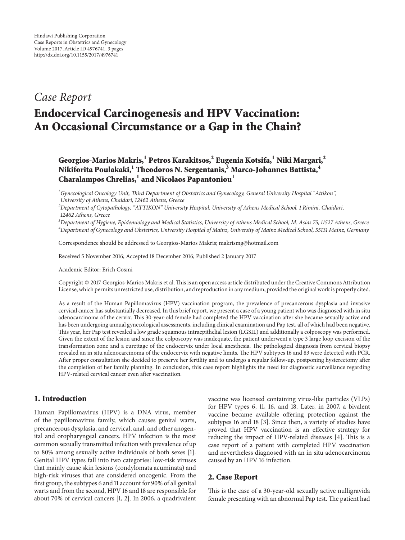# *Case Report*

# **Endocervical Carcinogenesis and HPV Vaccination: An Occasional Circumstance or a Gap in the Chain?**

**Georgios-Marios Makris,<sup>1</sup> Petros Karakitsos,<sup>2</sup> Eugenia Kotsifa,1 Niki Margari,2 Nikiforita Poulakaki,<sup>1</sup> Theodoros N. Sergentanis,3 Marco-Johannes Battista,<sup>4</sup> Charalampos Chrelias,<sup>1</sup> and Nicolaos Papantoniou<sup>1</sup>**

*1 Gynecological Oncology Unit, Third Department of Obstetrics and Gynecology, General University Hospital "Attikon", University of Athens, Chaidari, 12462 Athens, Greece*

*2 Department of Cytopathology, "ATTIKON" University Hospital, University of Athens Medical School, 1 Rimini, Chaidari, 12462 Athens, Greece*

*3 Department of Hygiene, Epidemiology and Medical Statistics, University of Athens Medical School, M. Asias 75, 11527 Athens, Greece 4 Department of Gynecology and Obstetrics, University Hospital of Mainz, University of Mainz Medical School, 55131 Mainz, Germany*

Correspondence should be addressed to Georgios-Marios Makris; makrismg@hotmail.com

Received 5 November 2016; Accepted 18 December 2016; Published 2 January 2017

Academic Editor: Erich Cosmi

Copyright © 2017 Georgios-Marios Makris et al.This is an open access article distributed under the Creative Commons Attribution License, which permits unrestricted use, distribution, and reproduction in any medium, provided the original work is properly cited.

As a result of the Human Papillomavirus (HPV) vaccination program, the prevalence of precancerous dysplasia and invasive cervical cancer has substantially decreased. In this brief report, we present a case of a young patient who was diagnosed with in situ adenocarcinoma of the cervix. This 30-year-old female had completed the HPV vaccination after she became sexually active and has been undergoing annual gynecological assessments, including clinical examination and Pap test, all of which had been negative. This year, her Pap test revealed a low grade squamous intraepithelial lesion (LGSIL) and additionally a colposcopy was performed. Given the extent of the lesion and since the colposcopy was inadequate, the patient underwent a type 3 large loop excision of the transformation zone and a curettage of the endocervix under local anesthesia. The pathological diagnosis from cervical biopsy revealed an in situ adenocarcinoma of the endocervix with negative limits. The HPV subtypes 16 and 83 were detected with PCR. After proper consultation she decided to preserve her fertility and to undergo a regular follow-up, postponing hysterectomy after the completion of her family planning. In conclusion, this case report highlights the need for diagnostic surveillance regarding HPV-related cervical cancer even after vaccination.

## **1. Introduction**

Human Papillomavirus (HPV) is a DNA virus, member of the papillomavirus family, which causes genital warts, precancerous dysplasia, and cervical, anal, and other anogenital and oropharyngeal cancers. HPV infection is the most common sexually transmitted infection with prevalence of up to 80% among sexually active individuals of both sexes [\[1\]](#page-2-0). Genital HPV types fall into two categories: low-risk viruses that mainly cause skin lesions (condylomata acuminata) and high-risk viruses that are considered oncogenic. From the first group, the subtypes 6 and 11 account for 90% of all genital warts and from the second, HPV 16 and 18 are responsible for about 70% of cervical cancers [\[1](#page-2-0), [2\]](#page-2-1). In 2006, a quadrivalent

vaccine was licensed containing virus-like particles (VLPs) for HPV types 6, 11, 16, and 18. Later, in 2007, a bivalent vaccine became available offering protection against the subtypes 16 and 18 [\[3\]](#page-2-2). Since then, a variety of studies have proved that HPV vaccination is an effective strategy for reducing the impact of HPV-related diseases [\[4](#page-2-3)]. This is a case report of a patient with completed HPV vaccination and nevertheless diagnosed with an in situ adenocarcinoma caused by an HPV 16 infection.

### **2. Case Report**

This is the case of a 30-year-old sexually active nulligravida female presenting with an abnormal Pap test. The patient had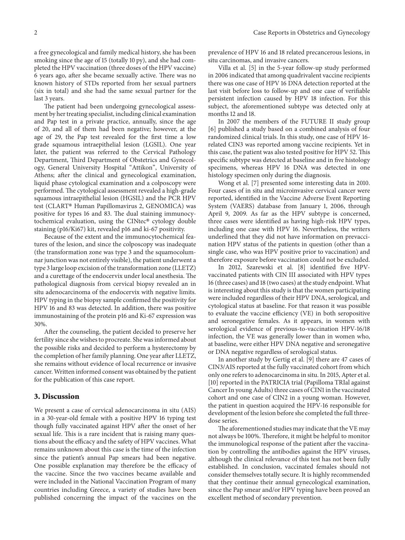a free gynecological and family medical history, she has been smoking since the age of 15 (totally 10 py), and she had completed the HPV vaccination (three doses of the HPV vaccine) 6 years ago, after she became sexually active. There was no known history of STDs reported from her sexual partners (six in total) and she had the same sexual partner for the last 3 years.

The patient had been undergoing gynecological assessment by her treating specialist, including clinical examination and Pap test in a private practice, annually, since the age of 20, and all of them had been negative; however, at the age of 29, the Pap test revealed for the first time a low grade squamous intraepithelial lesion (LGSIL). One year later, the patient was referred to the Cervical Pathology Department, Third Department of Obstetrics and Gynecology, General University Hospital "Attikon", University of Athens; after the clinical and gynecological examination, liquid phase cytological examination and a colposcopy were performed. The cytological assessment revealed a high-grade squamous intraepithelial lesion (HGSIL) and the PCR HPV test (CLART® Human Papillomavirus 2, GENOMICA) was positive for types 16 and 83. The dual staining immunocytochemical evaluation, using the CINtec® cytology double staining (p16/Ki67) kit, revealed p16 and ki-67 positivity.

Because of the extent and the immunocytochemical features of the lesion, and since the colposcopy was inadequate (the transformation zone was type 3 and the squamocolumnar junction was not entirely visible), the patient underwent a type 3 large loop excision of the transformation zone (LLETZ) and a curettage of the endocervix under local anesthesia. The pathological diagnosis from cervical biopsy revealed an in situ adenocarcinoma of the endocervix with negative limits. HPV typing in the biopsy sample confirmed the positivity for HPV 16 and 83 was detected. In addition, there was positive immunostaining of the protein p16 and Ki-67 expression was 30%.

After the counseling, the patient decided to preserve her fertility since she wishes to procreate. She was informed about the possible risks and decided to perform a hysterectomy by the completion of her family planning. One year after LLETZ, she remains without evidence of local recurrence or invasive cancer. Written informed consent was obtained by the patient for the publication of this case report.

#### **3. Discussion**

We present a case of cervical adenocarcinoma in situ (AIS) in a 30-year-old female with a positive HPV 16 typing test though fully vaccinated against HPV after the onset of her sexual life. This is a rare incident that is raising many questions about the efficacy and the safety of HPV vaccines. What remains unknown about this case is the time of the infection since the patient's annual Pap smears had been negative. One possible explanation may therefore be the efficacy of the vaccine. Since the two vaccines became available and were included in the National Vaccination Program of many countries including Greece, a variety of studies have been published concerning the impact of the vaccines on the

prevalence of HPV 16 and 18 related precancerous lesions, in situ carcinomas, and invasive cancers.

Villa et al. [\[5\]](#page-2-4) in the 5-year follow-up study performed in 2006 indicated that among quadrivalent vaccine recipients there was one case of HPV 16 DNA detection reported at the last visit before loss to follow-up and one case of verifiable persistent infection caused by HPV 18 infection. For this subject, the aforementioned subtype was detected only at months 12 and 18.

In 2007 the members of the FUTURE II study group [\[6\]](#page-2-5) published a study based on a combined analysis of four randomized clinical trials. In this study, one case of HPV 16 related CIN3 was reported among vaccine recipients. Yet in this case, the patient was also tested positive for HPV 52. This specific subtype was detected at baseline and in five histology specimens, whereas HPV 16 DNA was detected in one histology specimen only during the diagnosis.

Wong et al. [\[7\]](#page-2-6) presented some interesting data in 2010. Four cases of in situ and microinvasive cervical cancer were reported, identified in the Vaccine Adverse Event Reporting System (VAERS) database from January 1, 2006, through April 9, 2009. As far as the HPV subtype is concerned, three cases were identified as having high-risk HPV types, including one case with HPV 16. Nevertheless, the writers underlined that they did not have information on prevaccination HPV status of the patients in question (other than a single case, who was HPV positive prior to vaccination) and therefore exposure before vaccination could not be excluded.

In 2012, Szarewski et al. [\[8\]](#page-2-7) identified five HPVvaccinated patients with CIN III associated with HPV types 16 (three cases) and 18 (two cases) at the study endpoint.What is interesting about this study is that the women participating were included regardless of their HPV DNA, serological, and cytological status at baseline. For that reason it was possible to evaluate the vaccine efficiency (VE) in both seropositive and seronegative females. As it appears, in women with serological evidence of previous-to-vaccination HPV-16/18 infection, the VE was generally lower than in women who, at baseline, were either HPV DNA negative and seronegative or DNA negative regardless of serological status.

In another study by Gertig et al. [\[9](#page-2-8)] there are 47 cases of CIN3/AIS reported at the fully vaccinated cohort from which only one refers to adenocarcinoma in situ. In 2015, Apter et al. [\[10](#page-2-9)] reported in the PATRICIA trial (Papilloma TRIal against Cancer In young Adults) three cases of CIN1 in the vaccinated cohort and one case of CIN2 in a young woman. However, the patient in question acquired the HPV-16 responsible for development of the lesion before she completed the full threedose series.

The aforementioned studies may indicate that the VE may not always be 100%. Therefore, it might be helpful to monitor the immunological response of the patient after the vaccination by controlling the antibodies against the HPV viruses, although the clinical relevance of this test has not been fully established. In conclusion, vaccinated females should not consider themselves totally secure. It is highly recommended that they continue their annual gynecological examination, since the Pap smear and/or HPV typing have been proved an excellent method of secondary prevention.